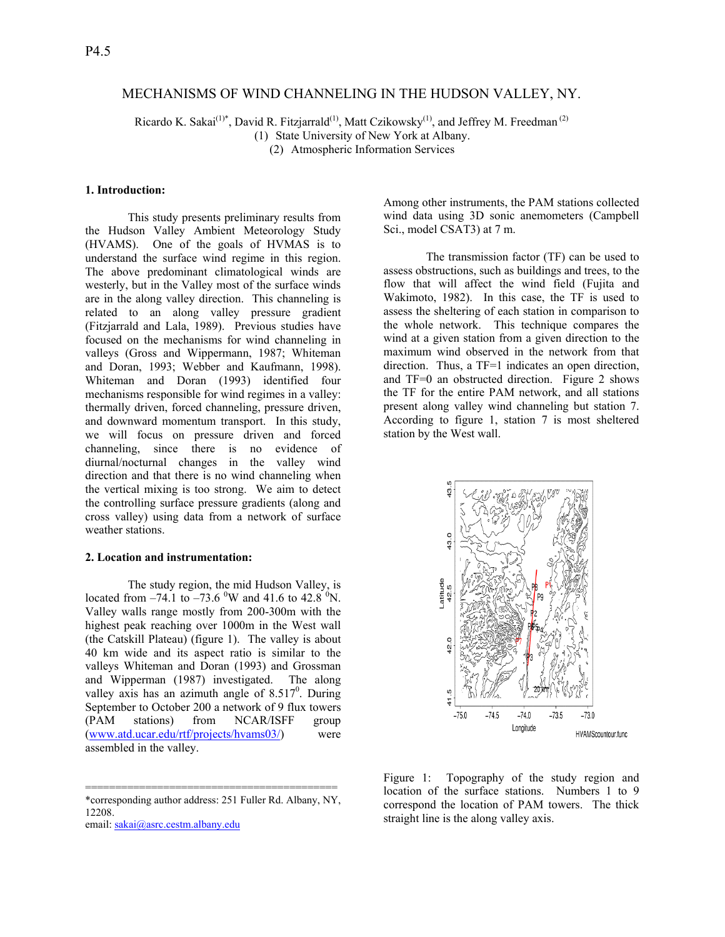# MECHANISMS OF WIND CHANNELING IN THE HUDSON VALLEY, NY.

Ricardo K. Sakai<sup>(1)\*</sup>, David R. Fitzjarrald<sup>(1)</sup>, Matt Czikowsky<sup>(1)</sup>, and Jeffrey M. Freedman<sup>(2)</sup> (1) State University of New York at Albany.

(2) Atmospheric Information Services

### **1. Introduction:**

 This study presents preliminary results from the Hudson Valley Ambient Meteorology Study (HVAMS). One of the goals of HVMAS is to understand the surface wind regime in this region. The above predominant climatological winds are westerly, but in the Valley most of the surface winds are in the along valley direction. This channeling is related to an along valley pressure gradient (Fitzjarrald and Lala, 1989). Previous studies have focused on the mechanisms for wind channeling in valleys (Gross and Wippermann, 1987; Whiteman and Doran, 1993; Webber and Kaufmann, 1998). Whiteman and Doran (1993) identified four mechanisms responsible for wind regimes in a valley: thermally driven, forced channeling, pressure driven, and downward momentum transport. In this study, we will focus on pressure driven and forced channeling, since there is no evidence of diurnal/nocturnal changes in the valley wind direction and that there is no wind channeling when the vertical mixing is too strong. We aim to detect the controlling surface pressure gradients (along and cross valley) using data from a network of surface weather stations.

### **2. Location and instrumentation:**

The study region, the mid Hudson Valley, is located from  $-74.1$  to  $-73.6$  <sup>0</sup>W and 41.6 to 42.8 <sup>0</sup>N. Valley walls range mostly from 200-300m with the highest peak reaching over 1000m in the West wall (the Catskill Plateau) (figure 1). The valley is about 40 km wide and its aspect ratio is similar to the valleys Whiteman and Doran (1993) and Grossman and Wipperman (1987) investigated. The along valley axis has an azimuth angle of  $8.517^0$ . During September to October 200 a network of 9 flux towers (PAM stations) from NCAR/ISFF group (www.atd.ucar.edu/rtf/projects/hvams03/) were assembled in the valley.

========================================== \*corresponding author address: 251 Fuller Rd. Albany, NY, 12208.

email: sakai@asrc.cestm.albany.edu

Among other instruments, the PAM stations collected wind data using 3D sonic anemometers (Campbell Sci., model CSAT3) at 7 m.

The transmission factor (TF) can be used to assess obstructions, such as buildings and trees, to the flow that will affect the wind field (Fujita and Wakimoto, 1982). In this case, the TF is used to assess the sheltering of each station in comparison to the whole network. This technique compares the wind at a given station from a given direction to the maximum wind observed in the network from that direction. Thus, a TF=1 indicates an open direction, and TF=0 an obstructed direction. Figure 2 shows the TF for the entire PAM network, and all stations present along valley wind channeling but station 7. According to figure 1, station 7 is most sheltered station by the West wall.



Figure 1: Topography of the study region and location of the surface stations. Numbers 1 to 9 correspond the location of PAM towers. The thick straight line is the along valley axis.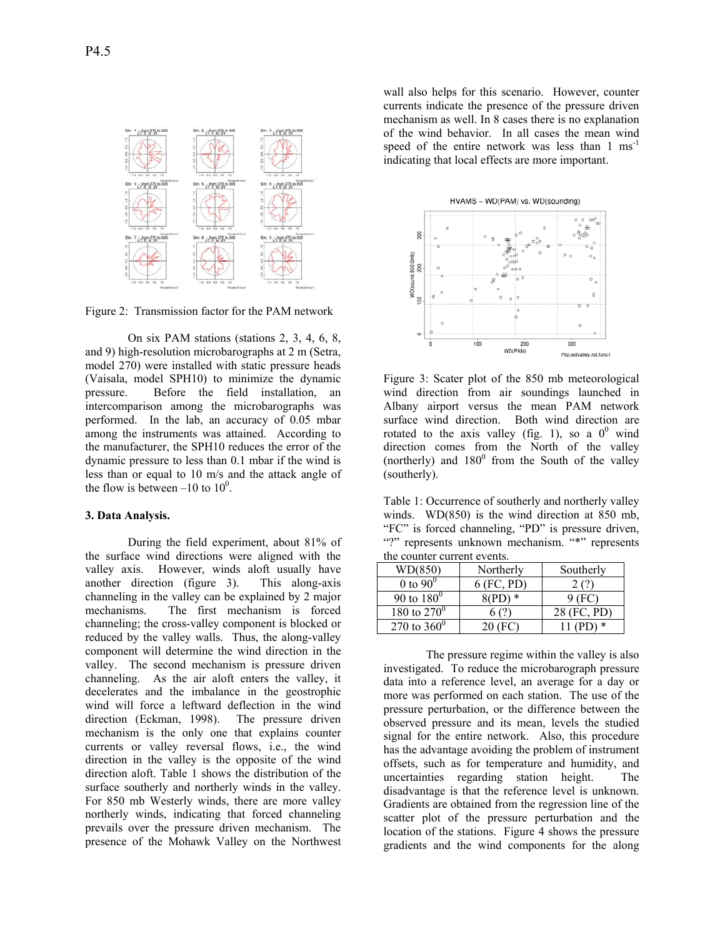

Figure 2: Transmission factor for the PAM network

On six PAM stations (stations 2, 3, 4, 6, 8, and 9) high-resolution microbarographs at 2 m (Setra, model 270) were installed with static pressure heads (Vaisala, model SPH10) to minimize the dynamic pressure. Before the field installation, an intercomparison among the microbarographs was performed. In the lab, an accuracy of 0.05 mbar among the instruments was attained. According to the manufacturer, the SPH10 reduces the error of the dynamic pressure to less than 0.1 mbar if the wind is less than or equal to 10 m/s and the attack angle of the flow is between  $-10$  to  $10^0$ .

### **3. Data Analysis.**

 During the field experiment, about 81% of the surface wind directions were aligned with the valley axis. However, winds aloft usually have another direction (figure 3). This along-axis channeling in the valley can be explained by 2 major mechanisms. The first mechanism is forced channeling; the cross-valley component is blocked or reduced by the valley walls. Thus, the along-valley component will determine the wind direction in the valley. The second mechanism is pressure driven channeling. As the air aloft enters the valley, it decelerates and the imbalance in the geostrophic wind will force a leftward deflection in the wind direction (Eckman, 1998). The pressure driven mechanism is the only one that explains counter currents or valley reversal flows, i.e., the wind direction in the valley is the opposite of the wind direction aloft. Table 1 shows the distribution of the surface southerly and northerly winds in the valley. For 850 mb Westerly winds, there are more valley northerly winds, indicating that forced channeling prevails over the pressure driven mechanism. The presence of the Mohawk Valley on the Northwest

wall also helps for this scenario. However, counter currents indicate the presence of the pressure driven mechanism as well. In 8 cases there is no explanation of the wind behavior. In all cases the mean wind speed of the entire network was less than  $1 \text{ ms}^{-1}$ indicating that local effects are more important.



Figure 3: Scater plot of the 850 mb meteorological wind direction from air soundings launched in Albany airport versus the mean PAM network surface wind direction. Both wind direction are rotated to the axis valley (fig. 1), so a  $0^0$  wind direction comes from the North of the valley (northerly) and  $180^0$  from the South of the valley (southerly).

Table 1: Occurrence of southerly and northerly valley winds. WD(850) is the wind direction at 850 mb, "FC" is forced channeling, "PD" is pressure driven, "?" represents unknown mechanism. "\*" represents the counter current events.

| WD(850)              | Northerly  | Southerly |
|----------------------|------------|-----------|
| 0 to $90^\circ$      | 6 (FC, PD) |           |
| 90 to $180^0$        |            | HU.       |
| 180 to $270^0$       |            | (FC, PD)  |
| 270 to $360^{\circ}$ |            | ∗         |

 The pressure regime within the valley is also investigated. To reduce the microbarograph pressure data into a reference level, an average for a day or more was performed on each station. The use of the pressure perturbation, or the difference between the observed pressure and its mean, levels the studied signal for the entire network. Also, this procedure has the advantage avoiding the problem of instrument offsets, such as for temperature and humidity, and uncertainties regarding station height. The disadvantage is that the reference level is unknown. Gradients are obtained from the regression line of the scatter plot of the pressure perturbation and the location of the stations. Figure 4 shows the pressure gradients and the wind components for the along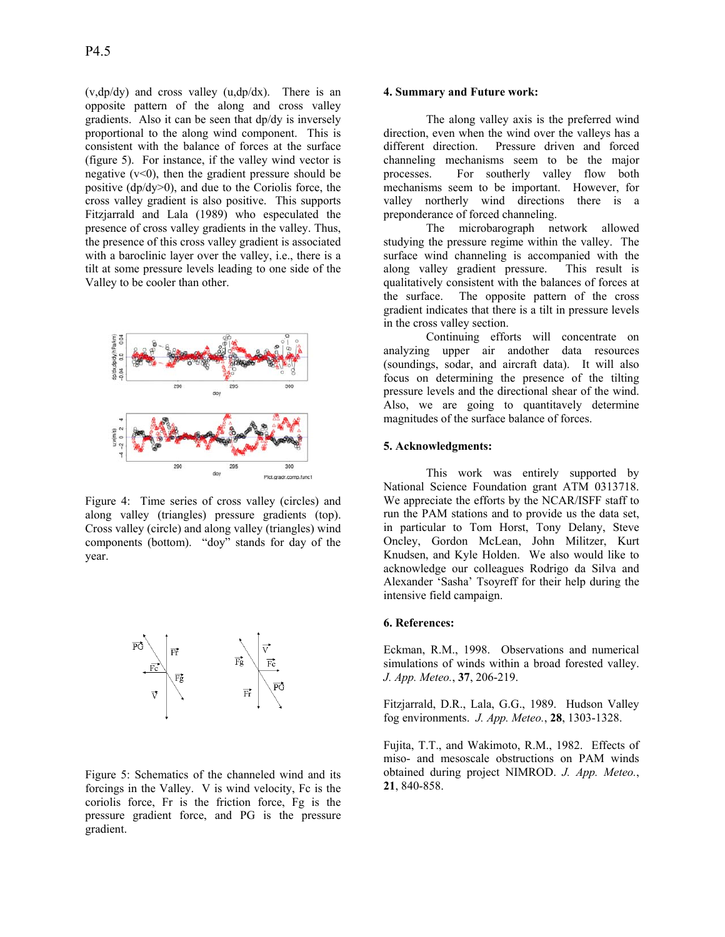(v,dp/dy) and cross valley (u,dp/dx). There is an opposite pattern of the along and cross valley gradients. Also it can be seen that dp/dy is inversely proportional to the along wind component. This is consistent with the balance of forces at the surface (figure 5). For instance, if the valley wind vector is negative  $(v<0)$ , then the gradient pressure should be positive  $\frac{dp}{dy}$ ), and due to the Coriolis force, the cross valley gradient is also positive. This supports Fitzjarrald and Lala (1989) who especulated the presence of cross valley gradients in the valley. Thus, the presence of this cross valley gradient is associated with a baroclinic layer over the valley, i.e., there is a tilt at some pressure levels leading to one side of the Valley to be cooler than other.



Figure 4: Time series of cross valley (circles) and along valley (triangles) pressure gradients (top). Cross valley (circle) and along valley (triangles) wind components (bottom). "doy" stands for day of the year.



Figure 5: Schematics of the channeled wind and its forcings in the Valley. V is wind velocity, Fc is the coriolis force, Fr is the friction force, Fg is the pressure gradient force, and PG is the pressure gradient.

# **4. Summary and Future work:**

 The along valley axis is the preferred wind direction, even when the wind over the valleys has a different direction. Pressure driven and forced channeling mechanisms seem to be the major processes. For southerly valley flow both mechanisms seem to be important. However, for valley northerly wind directions there is a preponderance of forced channeling.

The microbarograph network allowed studying the pressure regime within the valley. The surface wind channeling is accompanied with the along valley gradient pressure. This result is qualitatively consistent with the balances of forces at the surface. The opposite pattern of the cross gradient indicates that there is a tilt in pressure levels in the cross valley section.

 Continuing efforts will concentrate on analyzing upper air andother data resources (soundings, sodar, and aircraft data). It will also focus on determining the presence of the tilting pressure levels and the directional shear of the wind. Also, we are going to quantitavely determine magnitudes of the surface balance of forces.

#### **5. Acknowledgments:**

This work was entirely supported by National Science Foundation grant ATM 0313718. We appreciate the efforts by the NCAR/ISFF staff to run the PAM stations and to provide us the data set, in particular to Tom Horst, Tony Delany, Steve Oncley, Gordon McLean, John Militzer, Kurt Knudsen, and Kyle Holden. We also would like to acknowledge our colleagues Rodrigo da Silva and Alexander 'Sasha' Tsoyreff for their help during the intensive field campaign.

# **6. References:**

Eckman, R.M., 1998. Observations and numerical simulations of winds within a broad forested valley. *J. App. Meteo.*, **37**, 206-219.

Fitzjarrald, D.R., Lala, G.G., 1989. Hudson Valley fog environments. *J. App. Meteo.*, **28**, 1303-1328.

Fujita, T.T., and Wakimoto, R.M., 1982. Effects of miso- and mesoscale obstructions on PAM winds obtained during project NIMROD. *J. App. Meteo.*, **21**, 840-858.